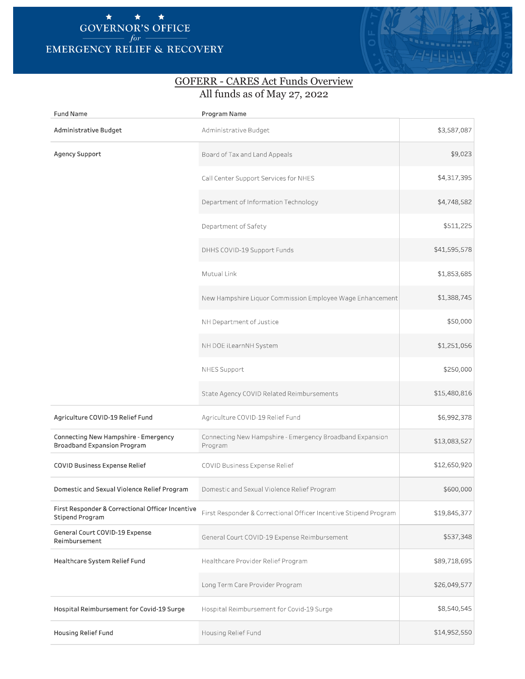## \* \* \* **GOVERNOR'S OFFICE**   $for -$ **EMERGENCY RELIEF** & **RECOVERY**



## GOFERR - CARES Act Funds Overview All funds as of May 27, 2022

| <b>Fund Name</b>                                                    | Program Name                                                        |              |
|---------------------------------------------------------------------|---------------------------------------------------------------------|--------------|
| Administrative Budget                                               | Administrative Budget                                               | \$3,587,087  |
| Agency Support                                                      | Board of Tax and Land Appeals                                       | \$9,023      |
|                                                                     | Call Center Support Services for NHES                               | \$4,317,395  |
|                                                                     | Department of Information Technology                                | \$4,748,582  |
|                                                                     | Department of Safety                                                | \$511,225    |
|                                                                     | DHHS COVID-19 Support Funds                                         | \$41,595,578 |
|                                                                     | Mutual Link                                                         | \$1,853,685  |
|                                                                     | New Hampshire Liquor Commission Employee Wage Enhancement           | \$1,388,745  |
|                                                                     | NH Department of Justice                                            | \$50,000     |
|                                                                     | NH DOE iLearnNH System                                              | \$1,251,056  |
|                                                                     | NHES Support                                                        | \$250,000    |
|                                                                     | State Agency COVID Related Reimbursements                           | \$15,480,816 |
| Agriculture COVID-19 Relief Fund                                    | Agriculture COVID-19 Relief Fund                                    | \$6,992,378  |
| Connecting New Hampshire - Emergency<br>Broadband Expansion Program | Connecting New Hampshire - Emergency Broadband Expansion<br>Program | \$13,083,527 |
| COVID Business Expense Relief                                       | COVID Business Expense Relief                                       | \$12,650,920 |
| Domestic and Sexual Violence Relief Program                         | Domestic and Sexual Violence Relief Program                         | \$600,000    |
| First Responder & Correctional Officer Incentive<br>Stipend Program | First Responder & Correctional Officer Incentive Stipend Program    | \$19,845,377 |
| General Court COVID-19 Expense<br>Reimbursement                     | General Court COVID-19 Expense Reimbursement                        | \$537,348    |
| Healthcare System Relief Fund                                       | Healthcare Provider Relief Program                                  | \$89,718,695 |
|                                                                     | Long Term Care Provider Program                                     | \$26,049,577 |
| Hospital Reimbursement for Covid-19 Surge                           | Hospital Reimbursement for Covid-19 Surge                           | \$8,540,545  |
| Housing Relief Fund                                                 | Housing Relief Fund                                                 | \$14,952,550 |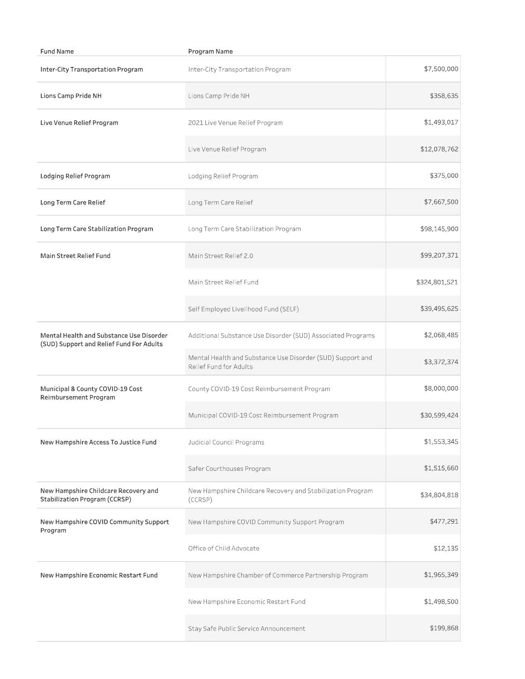| <b>Fund Name</b>                                                                     | Program Name                                                                         |               |  |
|--------------------------------------------------------------------------------------|--------------------------------------------------------------------------------------|---------------|--|
| Inter-City Transportation Program                                                    | Inter-City Transportation Program                                                    | \$7,500,000   |  |
| Lions Camp Pride NH                                                                  | Lions Camp Pride NH                                                                  | \$358,635     |  |
| Live Venue Relief Program                                                            | 2021 Live Venue Relief Program                                                       | \$1,493,017   |  |
|                                                                                      | Live Venue Relief Program                                                            | \$12,078,762  |  |
| Lodging Relief Program                                                               | Lodging Relief Program                                                               | \$375,000     |  |
| Long Term Care Relief                                                                | Long Term Care Relief                                                                | \$7,667,500   |  |
| Long Term Care Stabilization Program                                                 | Long Term Care Stabilization Program                                                 | \$98,145,900  |  |
| Main Street Relief Fund                                                              | Main Street Relief 2.0                                                               | \$99,207,371  |  |
|                                                                                      | Main Street Relief Fund                                                              | \$324,801,521 |  |
|                                                                                      | Self Employed Livelihood Fund (SELF)                                                 | \$39,495,625  |  |
| Mental Health and Substance Use Disorder<br>(SUD) Support and Relief Fund For Adults | Additional Substance Use Disorder (SUD) Associated Programs                          | \$2,068,485   |  |
|                                                                                      | Mental Health and Substance Use Disorder (SUD) Support and<br>Relief Fund for Adults | \$3,372,374   |  |
| Municipal & County COVID-19 Cost<br>Reimbursement Program                            | County COVID-19 Cost Reimbursement Program                                           | \$8,000,000   |  |
|                                                                                      | Municipal COVID-19 Cost Reimbursement Program                                        | \$30,599,424  |  |
| New Hampshire Access To Justice Fund                                                 | Judicial Council Programs                                                            | \$1,553,345   |  |
|                                                                                      | Safer Courthouses Program                                                            | \$1,515,660   |  |
| New Hampshire Childcare Recovery and<br>Stabilization Program (CCRSP)                | New Hampshire Childcare Recovery and Stabilization Program<br>(CCRSP)                | \$34,804,818  |  |
| New Hampshire COVID Community Support<br>Program                                     | New Hampshire COVID Community Support Program                                        | \$477,291     |  |
|                                                                                      | Office of Child Advocate                                                             | \$12,135      |  |
| New Hampshire Economic Restart Fund                                                  | New Hampshire Chamber of Commerce Partnership Program                                | \$1,965,349   |  |
|                                                                                      | New Hampshire Economic Restart Fund                                                  | \$1,498,500   |  |
|                                                                                      | Stay Safe Public Service Announcement                                                | \$199,868     |  |